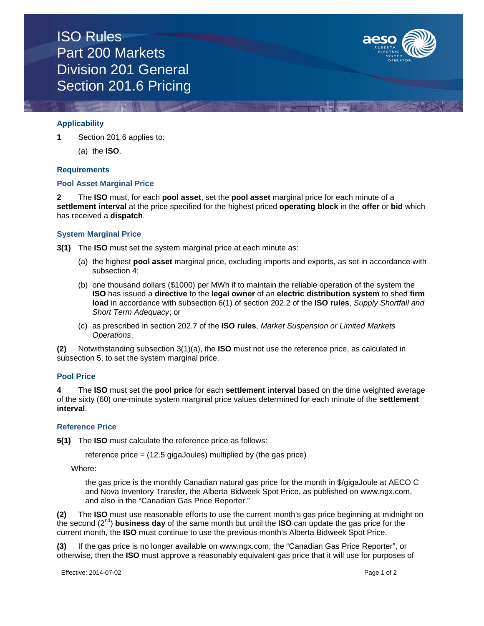

# **Applicability**

**1** Section 201.6 applies to:

(a) the **ISO**.

## **Requirements**

# **Pool Asset Marginal Price**

**2** The **ISO** must, for each **pool asset**, set the **pool asset** marginal price for each minute of a **settlement interval** at the price specified for the highest priced **operating block** in the **offer** or **bid** which has received a **dispatch**.

## **System Marginal Price**

**3(1)** The **ISO** must set the system marginal price at each minute as:

- (a) the highest **pool asset** marginal price, excluding imports and exports, as set in accordance with subsection 4;
- (b) one thousand dollars (\$1000) per MWh if to maintain the reliable operation of the system the **ISO** has issued a **directive** to the **legal owner** of an **electric distribution system** to shed **firm load** in accordance with subsection 6(1) of section 202.2 of the **ISO rules**, *Supply Shortfall and Short Term Adequacy*; or
- (c) as prescribed in section 202.7 of the **ISO rules**, *Market Suspension or Limited Markets Operations*,

**(2)** Notwithstanding subsection 3(1)(a), the **ISO** must not use the reference price, as calculated in subsection 5, to set the system marginal price.

#### **Pool Price**

**4** The **ISO** must set the **pool price** for each **settlement interval** based on the time weighted average of the sixty (60) one-minute system marginal price values determined for each minute of the **settlement interval**.

#### **Reference Price**

**5(1)** The **ISO** must calculate the reference price as follows:

reference price = (12.5 gigaJoules) multiplied by (the gas price)

Where:

the gas price is the monthly Canadian natural gas price for the month in \$/gigaJoule at AECO C and Nova Inventory Transfer, the Alberta Bidweek Spot Price, as published on www.ngx.com, and also in the "Canadian Gas Price Reporter."

**(2)** The **ISO** must use reasonable efforts to use the current month's gas price beginning at midnight on the second (2nd) **business day** of the same month but until the **ISO** can update the gas price for the current month, the **ISO** must continue to use the previous month's Alberta Bidweek Spot Price.

**(3)** If the gas price is no longer available on www.ngx.com, the "Canadian Gas Price Reporter", or otherwise, then the **ISO** must approve a reasonably equivalent gas price that it will use for purposes of